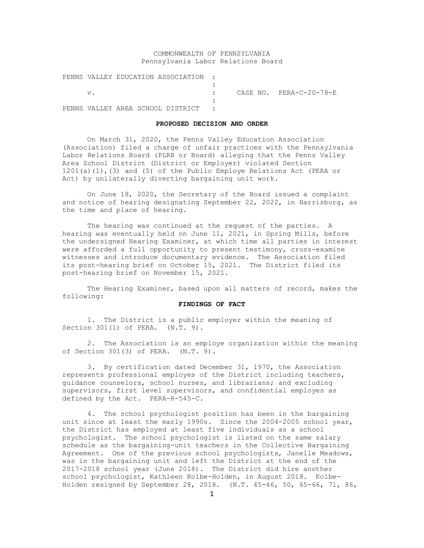# COMMONWEALTH OF PENNSYLVANIA Pennsylvania Labor Relations Board

| PENNS VALLEY EDUCATION ASSOCIATION: |  |  |  |  |                         |  |
|-------------------------------------|--|--|--|--|-------------------------|--|
|                                     |  |  |  |  |                         |  |
| $V$ .                               |  |  |  |  | CASE NO. PERA-C-20-78-E |  |
|                                     |  |  |  |  |                         |  |
| PENNS VALLEY AREA SCHOOL DISTRICT : |  |  |  |  |                         |  |

### **PROPOSED DECISION AND ORDER**

On March 31, 2020, the Penns Valley Education Association (Association) filed a charge of unfair practices with the Pennsylvania Labor Relations Board (PLRB or Board) alleging that the Penns Valley Area School District (District or Employer) violated Section 1201(a)(1),(3) and (5) of the Public Employe Relations Act (PERA or Act) by unilaterally diverting bargaining unit work.

On June 18, 2020, the Secretary of the Board issued a complaint and notice of hearing designating September 22, 2022, in Harrisburg, as the time and place of hearing.

The hearing was continued at the request of the parties. A hearing was eventually held on June 11, 2021, in Spring Mills, before the undersigned Hearing Examiner, at which time all parties in interest were afforded a full opportunity to present testimony, cross-examine witnesses and introduce documentary evidence. The Association filed its post-hearing brief on October 15, 2021. The District filed its post-hearing brief on November 15, 2021.

The Hearing Examiner, based upon all matters of record, makes the following:

### **FINDINGS OF FACT**

1. The District is a public employer within the meaning of Section 301(1) of PERA. (N.T. 9).

2. The Association is an employe organization within the meaning of Section 301(3) of PERA. (N.T. 9).

3. By certification dated December 31, 1970, the Association represents professional employes of the District including teachers, guidance counselors, school nurses, and librarians; and excluding supervisors, first level supervisors, and confidential employes as defined by the Act. PERA-R-545-C.

4. The school psychologist position has been in the bargaining unit since at least the early 1990s. Since the 2004-2005 school year, the District has employed at least five individuals as a school psychologist. The school psychologist is listed on the same salary schedule as the bargaining-unit teachers in the Collective Bargaining Agreement. One of the previous school psychologists, Janelle Meadows, was in the bargaining unit and left the District at the end of the 2017-2018 school year (June 2018). The District did hire another school psychologist, Kathleen Kolbe-Holden, in August 2018. Kolbe-Holden resigned by September 28, 2018. (N.T. 45-46, 50, 65-66, 71, 86,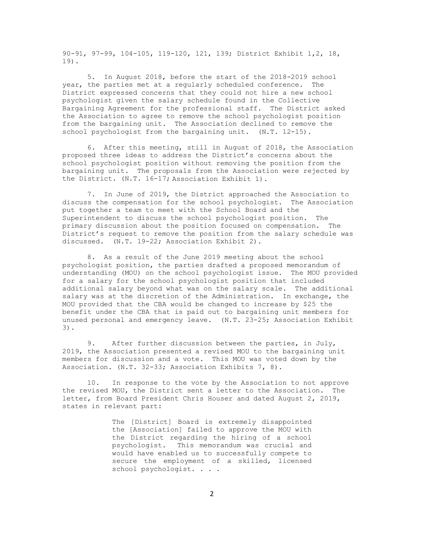90-91, 97-99, 104-105, 119-120, 121, 139; District Exhibit 1,2, 18, 19).

5. In August 2018, before the start of the 2018-2019 school year, the parties met at a regularly scheduled conference. The District expressed concerns that they could not hire a new school psychologist given the salary schedule found in the Collective Bargaining Agreement for the professional staff. The District asked the Association to agree to remove the school psychologist position from the bargaining unit. The Association declined to remove the school psychologist from the bargaining unit. (N.T. 12-15).

6. After this meeting, still in August of 2018, the Association proposed three ideas to address the District's concerns about the school psychologist position without removing the position from the bargaining unit. The proposals from the Association were rejected by the District. (N.T. 16-17; Association Exhibit 1).

7. In June of 2019, the District approached the Association to discuss the compensation for the school psychologist. The Association put together a team to meet with the School Board and the Superintendent to discuss the school psychologist position. The primary discussion about the position focused on compensation. The District's request to remove the position from the salary schedule was discussed. (N.T. 19-22; Association Exhibit 2).

8. As a result of the June 2019 meeting about the school psychologist position, the parties drafted a proposed memorandum of understanding (MOU) on the school psychologist issue. The MOU provided for a salary for the school psychologist position that included additional salary beyond what was on the salary scale. The additional salary was at the discretion of the Administration. In exchange, the MOU provided that the CBA would be changed to increase by \$25 the benefit under the CBA that is paid out to bargaining unit members for unused personal and emergency leave. (N.T. 23-25; Association Exhibit 3).

9. After further discussion between the parties, in July, 2019, the Association presented a revised MOU to the bargaining unit members for discussion and a vote. This MOU was voted down by the Association. (N.T. 32-33; Association Exhibits 7, 8).

10. In response to the vote by the Association to not approve the revised MOU, the District sent a letter to the Association. The letter, from Board President Chris Houser and dated August 2, 2019, states in relevant part:

> The [District] Board is extremely disappointed the [Association] failed to approve the MOU with the District regarding the hiring of a school psychologist. This memorandum was crucial and would have enabled us to successfully compete to secure the employment of a skilled, licensed school psychologist. . . .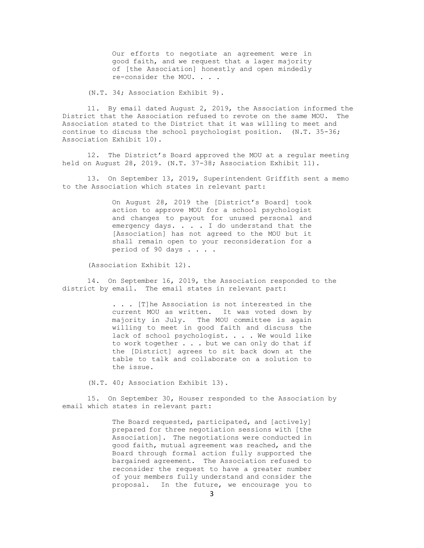Our efforts to negotiate an agreement were in good faith, and we request that a lager majority of [the Association] honestly and open mindedly re-consider the MOU. . . .

(N.T. 34; Association Exhibit 9).

11. By email dated August 2, 2019, the Association informed the District that the Association refused to revote on the same MOU. The Association stated to the District that it was willing to meet and continue to discuss the school psychologist position. (N.T. 35-36; Association Exhibit 10).

12. The District's Board approved the MOU at a regular meeting held on August 28, 2019. (N.T. 37-38; Association Exhibit 11).

13. On September 13, 2019, Superintendent Griffith sent a memo to the Association which states in relevant part:

> On August 28, 2019 the [District's Board] took action to approve MOU for a school psychologist and changes to payout for unused personal and emergency days. . . . I do understand that the [Association] has not agreed to the MOU but it shall remain open to your reconsideration for a period of 90 days . . . .

(Association Exhibit 12).

14. On September 16, 2019, the Association responded to the district by email. The email states in relevant part:

> . . . [T]he Association is not interested in the current MOU as written. It was voted down by majority in July. The MOU committee is again willing to meet in good faith and discuss the lack of school psychologist. . . . We would like to work together . . . but we can only do that if the [District] agrees to sit back down at the table to talk and collaborate on a solution to the issue.

(N.T. 40; Association Exhibit 13).

15. On September 30, Houser responded to the Association by email which states in relevant part:

> The Board requested, participated, and [actively] prepared for three negotiation sessions with [the Association]. The negotiations were conducted in good faith, mutual agreement was reached, and the Board through formal action fully supported the bargained agreement. The Association refused to reconsider the request to have a greater number of your members fully understand and consider the proposal. In the future, we encourage you to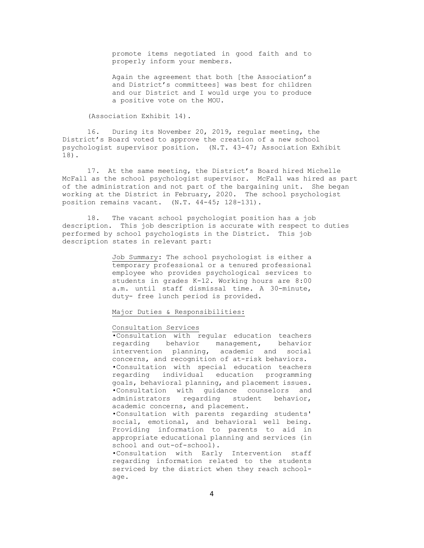promote items negotiated in good faith and to properly inform your members.

Again the agreement that both [the Association's and District's committees] was best for children and our District and I would urge you to produce a positive vote on the MOU.

(Association Exhibit 14).

16. During its November 20, 2019, regular meeting, the District's Board voted to approve the creation of a new school psychologist supervisor position. (N.T. 43-47; Association Exhibit 18).

17. At the same meeting, the District's Board hired Michelle McFall as the school psychologist supervisor. McFall was hired as part of the administration and not part of the bargaining unit. She began working at the District in February, 2020. The school psychologist position remains vacant. (N.T. 44-45; 128-131).

18. The vacant school psychologist position has a job description. This job description is accurate with respect to duties performed by school psychologists in the District. This job description states in relevant part:

> Job Summary: The school psychologist is either a temporary professional or a tenured professional employee who provides psychological services to students in grades K-12. Working hours are 8:00 a.m. until staff dismissal time. A 30-minute, duty- free lunch period is provided.

Major Duties & Responsibilities:

## Consultation Services

•Consultation with regular education teachers regarding behavior management, behavior intervention planning, academic and social concerns, and recognition of at-risk behaviors. •Consultation with special education teachers regarding individual education programming goals, behavioral planning, and placement issues. •Consultation with guidance counselors and<br>administrators regarding student behavior, regarding student behavior, academic concerns, and placement. •Consultation with parents regarding students' social, emotional, and behavioral well being. Providing information to parents to aid in appropriate educational planning and services (in school and out-of-school). •Consultation with Early Intervention staff

regarding information related to the students serviced by the district when they reach schoolage.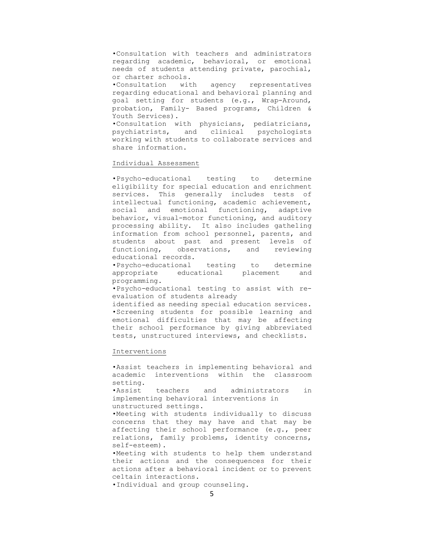•Consultation with teachers and administrators regarding academic, behavioral, or emotional needs of students attending private, parochial, or charter schools.

•Consultation with agency representatives regarding educational and behavioral planning and goal setting for students (e.g., Wrap-Around, probation, Family- Based programs, Children & Youth Services).

•Consultation with physicians, pediatricians, psychiatrists, and clinical working with students to collaborate services and share information.

# Individual Assessment

•Psycho-educational testing to determine eligibility for special education and enrichment services. This generally includes tests of intellectual functioning, academic achievement, social and emotional functioning, adaptive behavior, visual-motor functioning, and auditory processing ability. It also includes gathe1ing information from school personnel, parents, and students about past and present levels of functioning, observations, and reviewing educational records.

•Psycho-educational testing to determine educational placement programming.

•Psycho-educational testing to assist with reevaluation of students already

identified as needing special education services. •Screening students for possible learning and emotional difficulties that may be affecting their school performance by giving abbreviated tests, unstructured interviews, and checklists.

### Interventions

•Assist teachers in implementing behavioral and academic interventions within the classroom setting.<br>•Assist

teachers and administrators in implementing behavioral interventions in unstructured settings.

•Meeting with students individually to discuss concerns that they may have and that may be affecting their school performance (e.g., peer relations, family problems, identity concerns, self-esteem).

•Meeting with students to help them understand their actions and the consequences for their actions after a behavioral incident or to prevent ce1tain interactions.

•Individual and group counseling.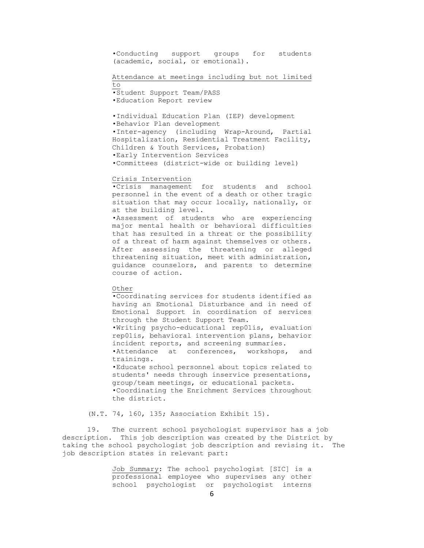•Conducting support groups for students (academic, social, or emotional).

## Attendance at meetings including but not limited

to

•Student Support Team/PASS •Education Report review

•Individual Education Plan (IEP) development •Behavior Plan development •Inter-agency (including Wrap-Around, Partial Hospitalization, Residential Treatment Facility, Children & Youth Services, Probation) •Early Intervention Services •Committees (district-wide or building level)

### Crisis Intervention

•Crisis management for students and school personnel in the event of a death or other tragic situation that may occur locally, nationally, or at the building level.

•Assessment of students who are experiencing major mental health or behavioral difficulties that has resulted in a threat or the possibility of a threat of harm against themselves or others. After assessing the threatening or alleged threatening situation, meet with administration, guidance counselors, and parents to determine course of action.

# Other

•Coordinating services for students identified as having an Emotional Disturbance and in need of Emotional Support in coordination of services through the Student Support Team. •Writing psycho-educational rep01is, evaluation rep01is, behavioral intervention plans, behavior incident reports, and screening summaries. •Attendance at conferences, workshops, and trainings. •Educate school personnel about topics related to students' needs through inservice presentations, group/team meetings, or educational packets. •Coordinating the Enrichment Services throughout the district.

(N.T. 74, 160, 135; Association Exhibit 15).

19. The current school psychologist supervisor has a job description. This job description was created by the District by taking the school psychologist job description and revising it. The job description states in relevant part:

> Job Summary: The school psychologist [SIC] is a professional employee who supervises any other school psychologist or psychologist interns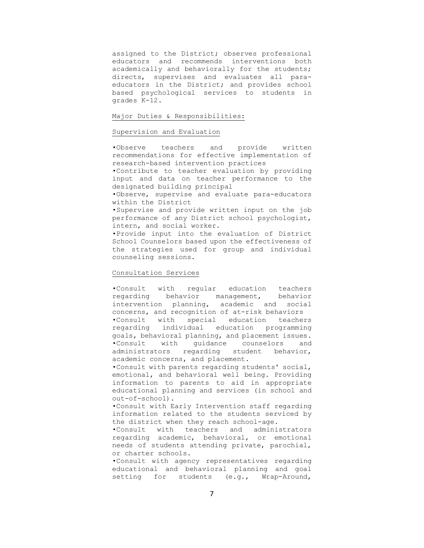assigned to the District; observes professional educators and recommends interventions both academically and behaviorally for the students; directs, supervises and evaluates all paraeducators in the District; and provides school based psychological services to students in grades K-12.

## Major Duties & Responsibilities:

### Supervision and Evaluation

•Observe teachers and provide written recommendations for effective implementation of research-based intervention practices

•Contribute to teacher evaluation by providing input and data on teacher performance to the designated building principal

•Observe, supervise and evaluate para-educators within the District

•Supervise and provide written input on the job performance of any District school psychologist, intern, and social worker.

•Provide input into the evaluation of District School Counselors based upon the effectiveness of the strategies used for group and individual counseling sessions.

# Consultation Services

•Consult with regular education teachers regarding behavior management, behavior intervention planning, academic and social concerns, and recognition of at-risk behaviors •Consult with special education teachers regarding individual education programming goals, behavioral planning, and placement issues.<br>Consult with quidance counselors and •Consult with guidance counselors administrators regarding student behavior, academic concerns, and placement.

•Consult with parents regarding students' social, emotional, and behavioral well being. Providing information to parents to aid in appropriate educational planning and services (in school and out-of-school).

•Consult with Early Intervention staff regarding information related to the students serviced by the district when they reach school-age.

•Consult with teachers and administrators regarding academic, behavioral, or emotional needs of students attending private, parochial, or charter schools.

•Consult with agency representatives regarding educational and behavioral planning and goal setting for students (e.g., Wrap-Around,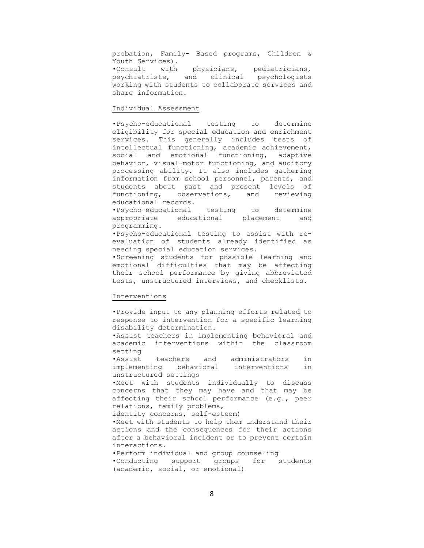probation, Family- Based programs, Children & Youth Services).

•Consult with physicians, pediatricians, psychiatrists, and clinical psychologists working with students to collaborate services and share information.

# Individual Assessment

•Psycho-educational testing to determine eligibility for special education and enrichment services. This generally includes tests of intellectual functioning, academic achievement, social and emotional functioning, adaptive behavior, visual-motor functioning, and auditory processing ability. It also includes gathering information from school personnel, parents, and students about past and present levels of functioning, observations, and reviewing educational records.

•Psycho-educational testing to determine educational placement and programming.

•Psycho-educational testing to assist with reevaluation of students already identified as needing special education services.

•Screening students for possible learning and emotional difficulties that may be affecting their school performance by giving abbreviated tests, unstructured interviews, and checklists.

# Interventions

•Provide input to any planning efforts related to response to intervention for a specific learning disability determination.

•Assist teachers in implementing behavioral and academic interventions within the classroom setting

•Assist teachers and administrators in implementing behavioral interventions in unstructured settings

•Meet with students individually to discuss concerns that they may have and that may be affecting their school performance (e.g., peer relations, family problems,

identity concerns, self-esteem)

•Meet with students to help them understand their actions and the consequences for their actions after a behavioral incident or to prevent certain interactions.

•Perform individual and group counseling

•Conducting support groups for students (academic, social, or emotional)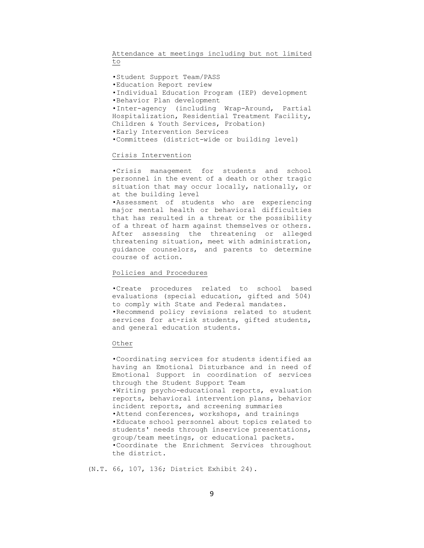Attendance at meetings including but not limited to

•Student Support Team/PASS •Education Report review •Individual Education Program (IEP) development •Behavior Plan development •Inter-agency (including Wrap-Around, Partial Hospitalization, Residential Treatment Facility, Children & Youth Services, Probation) •Early Intervention Services •Committees (district-wide or building level)

### Crisis Intervention

•Crisis management for students and school personnel in the event of a death or other tragic situation that may occur locally, nationally, or at the building level

•Assessment of students who are experiencing major mental health or behavioral difficulties that has resulted in a threat or the possibility of a threat of harm against themselves or others. After assessing the threatening or alleged threatening situation, meet with administration, guidance counselors, and parents to determine course of action.

# Policies and Procedures

•Create procedures related to school based evaluations (special education, gifted and 504) to comply with State and Federal mandates. •Recommend policy revisions related to student services for at-risk students, gifted students, and general education students.

### Other

•Coordinating services for students identified as having an Emotional Disturbance and in need of Emotional Support in coordination of services through the Student Support Team •Writing psycho-educational reports, evaluation reports, behavioral intervention plans, behavior incident reports, and screening summaries •Attend conferences, workshops, and trainings •Educate school personnel about topics related to students' needs through inservice presentations, group/team meetings, or educational packets. •Coordinate the Enrichment Services throughout the district.

(N.T. 66, 107, 136; District Exhibit 24).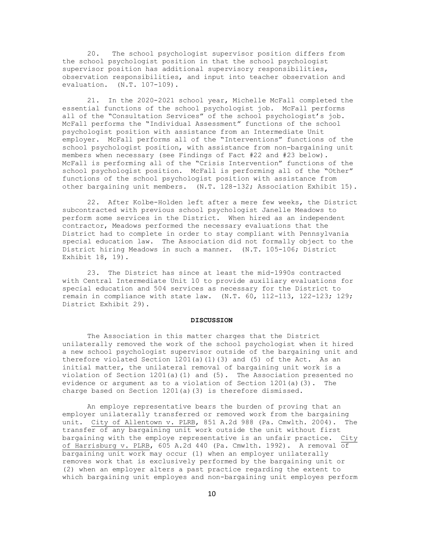20. The school psychologist supervisor position differs from the school psychologist position in that the school psychologist supervisor position has additional supervisory responsibilities, observation responsibilities, and input into teacher observation and evaluation. (N.T. 107-109).

21. In the 2020-2021 school year, Michelle McFall completed the essential functions of the school psychologist job. McFall performs all of the "Consultation Services" of the school psychologist's job. McFall performs the "Individual Assessment" functions of the school psychologist position with assistance from an Intermediate Unit employer. McFall performs all of the "Interventions" functions of the school psychologist position, with assistance from non-bargaining unit members when necessary (see Findings of Fact #22 and #23 below). McFall is performing all of the "Crisis Intervention" functions of the school psychologist position. McFall is performing all of the "Other" functions of the school psychologist position with assistance from other bargaining unit members. (N.T. 128-132; Association Exhibit 15).

22. After Kolbe-Holden left after a mere few weeks, the District subcontracted with previous school psychologist Janelle Meadows to perform some services in the District. When hired as an independent contractor, Meadows performed the necessary evaluations that the District had to complete in order to stay compliant with Pennsylvania special education law. The Association did not formally object to the District hiring Meadows in such a manner. (N.T. 105-106; District Exhibit 18, 19).

23. The District has since at least the mid-1990s contracted with Central Intermediate Unit 10 to provide auxiliary evaluations for special education and 504 services as necessary for the District to remain in compliance with state law. (N.T. 60, 112-113, 122-123; 129; District Exhibit 29).

## **DISCUSSION**

The Association in this matter charges that the District unilaterally removed the work of the school psychologist when it hired a new school psychologist supervisor outside of the bargaining unit and therefore violated Section  $1201(a)(1)(3)$  and  $(5)$  of the Act. As an initial matter, the unilateral removal of bargaining unit work is a violation of Section 1201(a)(1) and (5). The Association presented no evidence or argument as to a violation of Section 1201(a)(3). The charge based on Section 1201(a)(3) is therefore dismissed.

An employe representative bears the burden of proving that an employer unilaterally transferred or removed work from the bargaining unit. City of Allentown v. PLRB, 851 A.2d 988 (Pa. Cmwlth. 2004). The transfer of any bargaining unit work outside the unit without first bargaining with the employe representative is an unfair practice. City of Harrisburg v. PLRB, 605 A.2d 440 (Pa. Cmwlth. 1992). A removal of bargaining unit work may occur (1) when an employer unilaterally removes work that is exclusively performed by the bargaining unit or (2) when an employer alters a past practice regarding the extent to which bargaining unit employes and non-bargaining unit employes perform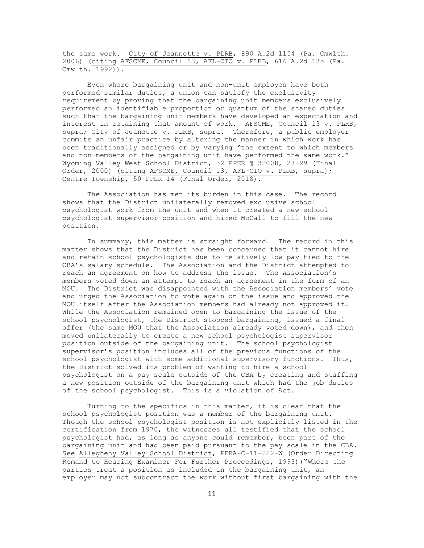the same work. City of Jeannette v. PLRB, 890 A.2d 1154 (Pa. Cmwlth. 2006) (citing AFSCME, Council 13, AFL-CIO v. PLRB, 616 A.2d 135 (Pa.  $Cmwidth. 1992)$ .

Even where bargaining unit and non-unit employes have both performed similar duties, a union can satisfy the exclusivity requirement by proving that the bargaining unit members exclusively performed an identifiable proportion or quantum of the shared duties such that the bargaining unit members have developed an expectation and interest in retaining that amount of work. AFSCME, Council 13 v. PLRB, supra; City of Jeanette v. PLRB, supra. Therefore, a public employer commits an unfair practice by altering the manner in which work has been traditionally assigned or by varying "the extent to which members and non-members of the bargaining unit have performed the same work." Wyoming Valley West School District, 32 PPER ¶ 32008, 28-29 (Final Order, 2000) (citing AFSCME, Council 13, AFL-CIO v. PLRB, supra); Centre Township, 50 PPER 14 (Final Order, 2018).

The Association has met its burden in this case. The record shows that the District unilaterally removed exclusive school psychologist work from the unit and when it created a new school psychologist supervisor position and hired McCall to fill the new position.

In summary, this matter is straight forward. The record in this matter shows that the District has been concerned that it cannot hire and retain school psychologists due to relatively low pay tied to the CBA's salary schedule. The Association and the District attempted to reach an agreement on how to address the issue. The Association's members voted down an attempt to reach an agreement in the form of an MOU. The District was disappointed with the Association members' vote and urged the Association to vote again on the issue and approved the MOU itself after the Association members had already not approved it. While the Association remained open to bargaining the issue of the school psychologist, the District stopped bargaining, issued a final offer (the same MOU that the Association already voted down), and then moved unilaterally to create a new school psychologist supervisor position outside of the bargaining unit. The school psychologist supervisor's position includes all of the previous functions of the school psychologist with some additional supervisory functions. Thus, the District solved its problem of wanting to hire a school psychologist on a pay scale outside of the CBA by creating and staffing a new position outside of the bargaining unit which had the job duties of the school psychologist. This is a violation of Act.

Turning to the specifics in this matter, it is clear that the school psychologist position was a member of the bargaining unit. Though the school psychologist position is not explicitly listed in the certification from 1970, the witnesses all testified that the school psychologist had, as long as anyone could remember, been part of the bargaining unit and had been paid pursuant to the pay scale in the CBA. See Allegheny Valley School District, PERA-C-11-222-W (Order Directing Remand to Hearing Examiner For Further Proceedings, 1993)("Where the parties treat a position as included in the bargaining unit, an employer may not subcontract the work without first bargaining with the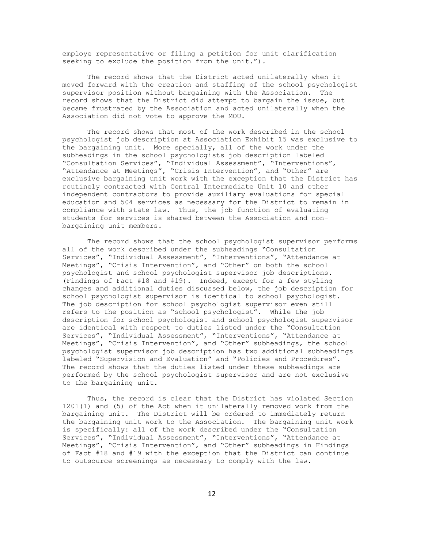employe representative or filing a petition for unit clarification seeking to exclude the position from the unit.").

The record shows that the District acted unilaterally when it moved forward with the creation and staffing of the school psychologist supervisor position without bargaining with the Association. The record shows that the District did attempt to bargain the issue, but became frustrated by the Association and acted unilaterally when the Association did not vote to approve the MOU.

The record shows that most of the work described in the school psychologist job description at Association Exhibit 15 was exclusive to the bargaining unit. More specially, all of the work under the subheadings in the school psychologists job description labeled "Consultation Services", "Individual Assessment", "Interventions", "Attendance at Meetings", "Crisis Intervention", and "Other" are exclusive bargaining unit work with the exception that the District has routinely contracted with Central Intermediate Unit 10 and other independent contractors to provide auxiliary evaluations for special education and 504 services as necessary for the District to remain in compliance with state law. Thus, the job function of evaluating students for services is shared between the Association and nonbargaining unit members.

The record shows that the school psychologist supervisor performs all of the work described under the subheadings "Consultation Services", "Individual Assessment", "Interventions", "Attendance at Meetings", "Crisis Intervention", and "Other" on both the school psychologist and school psychologist supervisor job descriptions. (Findings of Fact #18 and #19). Indeed, except for a few styling changes and additional duties discussed below, the job description for school psychologist supervisor is identical to school psychologist. The job description for school psychologist supervisor even still refers to the position as "school psychologist". While the job description for school psychologist and school psychologist supervisor are identical with respect to duties listed under the "Consultation Services", "Individual Assessment", "Interventions", "Attendance at Meetings", "Crisis Intervention", and "Other" subheadings, the school psychologist supervisor job description has two additional subheadings labeled "Supervision and Evaluation" and "Policies and Procedures". The record shows that the duties listed under these subheadings are performed by the school psychologist supervisor and are not exclusive to the bargaining unit.

Thus, the record is clear that the District has violated Section 1201(1) and (5) of the Act when it unilaterally removed work from the bargaining unit. The District will be ordered to immediately return the bargaining unit work to the Association. The bargaining unit work is specifically: all of the work described under the "Consultation Services", "Individual Assessment", "Interventions", "Attendance at Meetings", "Crisis Intervention", and "Other" subheadings in Findings of Fact #18 and #19 with the exception that the District can continue to outsource screenings as necessary to comply with the law.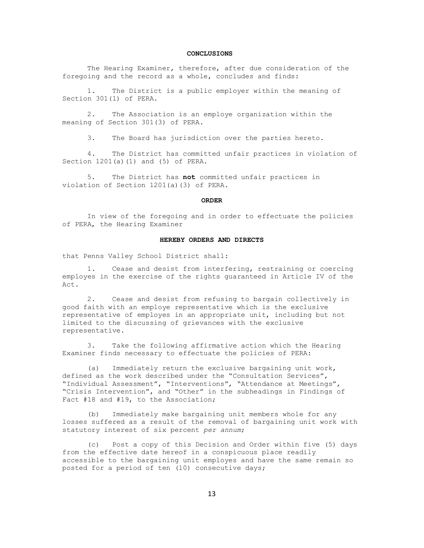# **CONCLUSIONS**

The Hearing Examiner, therefore, after due consideration of the foregoing and the record as a whole, concludes and finds:

1. The District is a public employer within the meaning of Section 301(1) of PERA.

2. The Association is an employe organization within the meaning of Section 301(3) of PERA.

3. The Board has jurisdiction over the parties hereto.

4. The District has committed unfair practices in violation of Section 1201(a)(1) and (5) of PERA.

5. The District has **not** committed unfair practices in violation of Section 1201(a)(3) of PERA.

#### **ORDER**

In view of the foregoing and in order to effectuate the policies of PERA, the Hearing Examiner

## **HEREBY ORDERS AND DIRECTS**

that Penns Valley School District shall:

1. Cease and desist from interfering, restraining or coercing employes in the exercise of the rights guaranteed in Article IV of the Act.

2. Cease and desist from refusing to bargain collectively in good faith with an employe representative which is the exclusive representative of employes in an appropriate unit, including but not limited to the discussing of grievances with the exclusive representative.

3. Take the following affirmative action which the Hearing Examiner finds necessary to effectuate the policies of PERA:

(a) Immediately return the exclusive bargaining unit work, defined as the work described under the "Consultation Services", "Individual Assessment", "Interventions", "Attendance at Meetings", "Crisis Intervention", and "Other" in the subheadings in Findings of Fact #18 and #19, to the Association;

(b) Immediately make bargaining unit members whole for any losses suffered as a result of the removal of bargaining unit work with statutory interest of six percent *per annum*;

(c) Post a copy of this Decision and Order within five (5) days from the effective date hereof in a conspicuous place readily accessible to the bargaining unit employes and have the same remain so posted for a period of ten (10) consecutive days;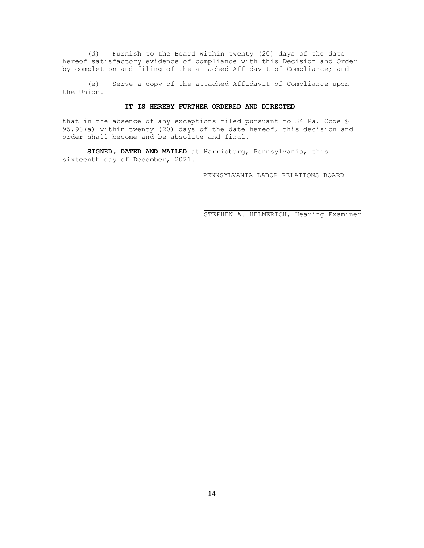(d) Furnish to the Board within twenty (20) days of the date hereof satisfactory evidence of compliance with this Decision and Order by completion and filing of the attached Affidavit of Compliance; and

(e) Serve a copy of the attached Affidavit of Compliance upon the Union.

### **IT IS HEREBY FURTHER ORDERED AND DIRECTED**

that in the absence of any exceptions filed pursuant to 34 Pa. Code § 95.98(a) within twenty (20) days of the date hereof, this decision and order shall become and be absolute and final.

**SIGNED, DATED AND MAILED** at Harrisburg, Pennsylvania, this sixteenth day of December, 2021.

PENNSYLVANIA LABOR RELATIONS BOARD

\_\_\_\_\_\_\_\_\_\_\_\_\_\_\_\_\_\_\_\_\_\_\_\_ \_\_\_\_\_\_\_\_\_\_\_\_\_ STEPHEN A. HELMERICH, Hearing Examiner